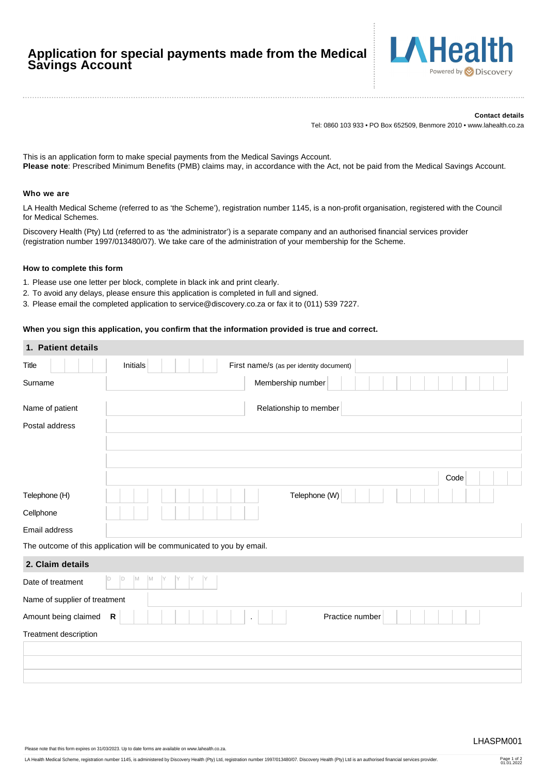# **Application for special payments made from the Medical Savings Account**



#### **Contact details**

Tel: 0860 103 933 • PO Box 652509, Benmore 2010 • www.lahealth.co.za

This is an application form to make special payments from the Medical Savings Account. **Please note**: Prescribed Minimum Benefits (PMB) claims may, in accordance with the Act, not be paid from the Medical Savings Account.

### **Who we are**

LA Health Medical Scheme (referred to as 'the Scheme'), registration number 1145, is a non-profit organisation, registered with the Council for Medical Schemes.

Discovery Health (Pty) Ltd (referred to as 'the administrator') is a separate company and an authorised financial services provider (registration number 1997/013480/07). We take care of the administration of your membership for the Scheme.

#### **How to complete this form**

- 1. Please use one letter per block, complete in black ink and print clearly.
- 2. To avoid any delays, please ensure this application is completed in full and signed.
- 3. Please email the completed application to service@discovery.co.za or fax it to (011) 539 7227.

## **When you sign this application, you confirm that the information provided is true and correct.**

| 1. Patient details            |                                                                       |
|-------------------------------|-----------------------------------------------------------------------|
| <b>Title</b>                  | Initials<br>First name/s (as per identity document)                   |
| Surname                       | Membership number                                                     |
| Name of patient               | Relationship to member                                                |
| Postal address                |                                                                       |
|                               |                                                                       |
|                               |                                                                       |
|                               | Code                                                                  |
| Telephone (H)                 | Telephone (W)                                                         |
| Cellphone                     |                                                                       |
| Email address                 |                                                                       |
|                               | The outcome of this application will be communicated to you by email. |
| 2. Claim details              |                                                                       |
| Date of treatment             | D<br>M<br>M<br>D<br>Y                                                 |
| Name of supplier of treatment |                                                                       |
| Amount being claimed          | ${\sf R}$<br>Practice number                                          |
| Treatment description         |                                                                       |
|                               |                                                                       |
|                               |                                                                       |
|                               |                                                                       |